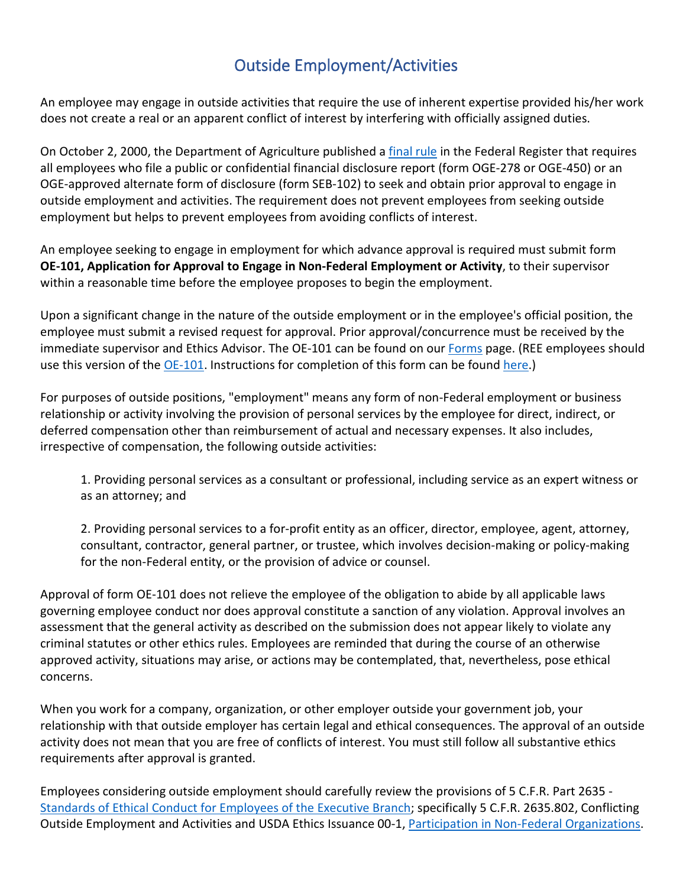## Outside Employment/Activities

An employee may engage in outside activities that require the use of inherent expertise provided his/her work does not create a real or an apparent conflict of interest by interfering with officially assigned duties.

On October 2, 2000, the Department of Agriculture published a [final rule](https://www.gpo.gov/fdsys/pkg/CFR-2008-title5-vol3/pdf/CFR-2008-title5-vol3-part8301.pdf) in the Federal Register that requires all employees who file a public or confidential financial disclosure report (form OGE-278 or OGE-450) or an OGE-approved alternate form of disclosure (form SEB-102) to seek and obtain prior approval to engage in outside employment and activities. The requirement does not prevent employees from seeking outside employment but helps to prevent employees from avoiding conflicts of interest.

An employee seeking to engage in employment for which advance approval is required must submit form **OE-101, Application for Approval to Engage in Non-Federal Employment or Activity**, to their supervisor within a reasonable time before the employee proposes to begin the employment.

Upon a significant change in the nature of the outside employment or in the employee's official position, the employee must submit a revised request for approval. Prior approval/concurrence must be received by the immediate supervisor and Ethics Advisor. The OE-101 can be found on our [Forms](https://www.ethics.usda.gov/forms.htm) page. (REE employees should use this version of the [OE-101.](https://axon.ars.usda.gov/Employee%20Tools/Electronic-Forms/OE-101-REE.pdf) Instructions for completion of this form can be found [here.](https://www.ethics.usda.gov/docs/forms/INS_OE-101.pdf))

For purposes of outside positions, "employment" means any form of non-Federal employment or business relationship or activity involving the provision of personal services by the employee for direct, indirect, or deferred compensation other than reimbursement of actual and necessary expenses. It also includes, irrespective of compensation, the following outside activities:

1. Providing personal services as a consultant or professional, including service as an expert witness or as an attorney; and

2. Providing personal services to a for-profit entity as an officer, director, employee, agent, attorney, consultant, contractor, general partner, or trustee, which involves decision-making or policy-making for the non-Federal entity, or the provision of advice or counsel.

Approval of form OE-101 does not relieve the employee of the obligation to abide by all applicable laws governing employee conduct nor does approval constitute a sanction of any violation. Approval involves an assessment that the general activity as described on the submission does not appear likely to violate any criminal statutes or other ethics rules. Employees are reminded that during the course of an otherwise approved activity, situations may arise, or actions may be contemplated, that, nevertheless, pose ethical concerns.

When you work for a company, organization, or other employer outside your government job, your relationship with that outside employer has certain legal and ethical consequences. The approval of an outside activity does not mean that you are free of conflicts of interest. You must still follow all substantive ethics requirements after approval is granted.

Employees considering outside employment should carefully review the provisions of 5 C.F.R. Part 2635 - [Standards of Ethical Conduct for Employees of the Executive Branch;](https://www.ecfr.gov/cgi-bin/text-idx?c=ecfr&SID=06f812f26e7ed9f364bb87944757b912&rgn=div5&view=text&node=5%3A3.0.10.10.9&idno=5) specifically 5 C.F.R. 2635.802, Conflicting Outside Employment and Activities and USDA Ethics Issuance 00-1[, Participation in Non-Federal Organizations.](https://www.ethics.usda.gov/rules/issuances/00-1-nonfed.htm)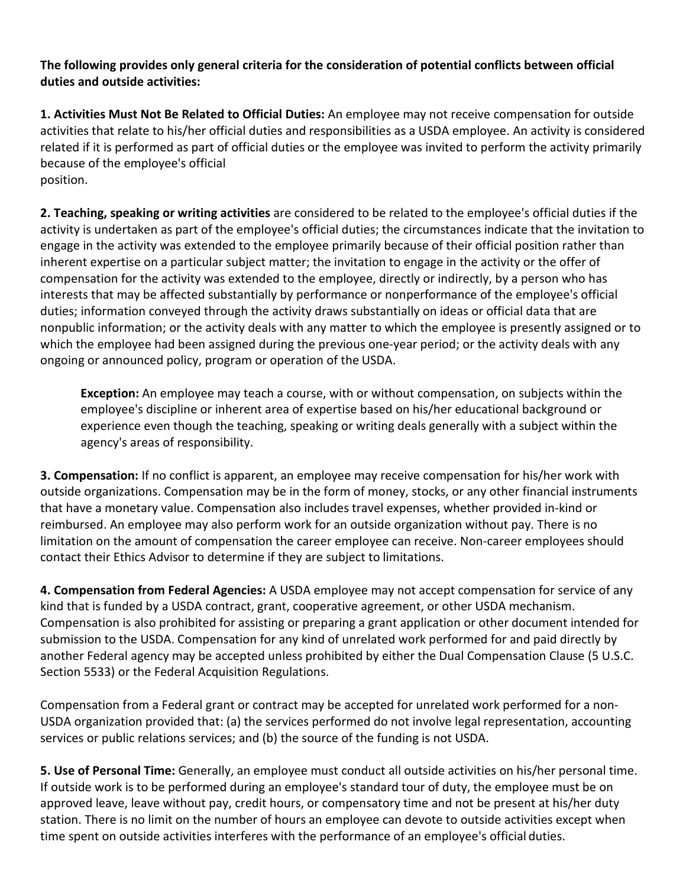**The following provides only general criteria for the consideration of potential conflicts between official duties and outside activities:**

**1. Activities Must Not Be Related to Official Duties:** An employee may not receive compensation for outside activities that relate to his/her official duties and responsibilities as a USDA employee. An activity is considered related if it is performed as part of official duties or the employee was invited to perform the activity primarily because of the employee's official position.

**2. Teaching, speaking or writing activities** are considered to be related to the employee's official duties if the activity is undertaken as part of the employee's official duties; the circumstances indicate that the invitation to engage in the activity was extended to the employee primarily because of their official position rather than inherent expertise on a particular subject matter; the invitation to engage in the activity or the offer of compensation for the activity was extended to the employee, directly or indirectly, by a person who has interests that may be affected substantially by performance or nonperformance of the employee's official duties; information conveyed through the activity draws substantially on ideas or official data that are nonpublic information; or the activity deals with any matter to which the employee is presently assigned or to which the employee had been assigned during the previous one-year period; or the activity deals with any ongoing or announced policy, program or operation of the USDA.

**Exception:** An employee may teach a course, with or without compensation, on subjects within the employee's discipline or inherent area of expertise based on his/her educational background or experience even though the teaching, speaking or writing deals generally with a subject within the agency's areas of responsibility.

**3. Compensation:** If no conflict is apparent, an employee may receive compensation for his/her work with outside organizations. Compensation may be in the form of money, stocks, or any other financial instruments that have a monetary value. Compensation also includes travel expenses, whether provided in-kind or reimbursed. An employee may also perform work for an outside organization without pay. There is no limitation on the amount of compensation the career employee can receive. Non-career employees should contact their Ethics Advisor to determine if they are subject to limitations.

**4. Compensation from Federal Agencies:** A USDA employee may not accept compensation for service of any kind that is funded by a USDA contract, grant, cooperative agreement, or other USDA mechanism. Compensation is also prohibited for assisting or preparing a grant application or other document intended for submission to the USDA. Compensation for any kind of unrelated work performed for and paid directly by another Federal agency may be accepted unless prohibited by either the Dual Compensation Clause (5 U.S.C. Section 5533) or the Federal Acquisition Regulations.

Compensation from a Federal grant or contract may be accepted for unrelated work performed for a non-USDA organization provided that: (a) the services performed do not involve legal representation, accounting services or public relations services; and (b) the source of the funding is not USDA.

**5. Use of Personal Time:** Generally, an employee must conduct all outside activities on his/her personal time. If outside work is to be performed during an employee's standard tour of duty, the employee must be on approved leave, leave without pay, credit hours, or compensatory time and not be present at his/her duty station. There is no limit on the number of hours an employee can devote to outside activities except when time spent on outside activities interferes with the performance of an employee's official duties.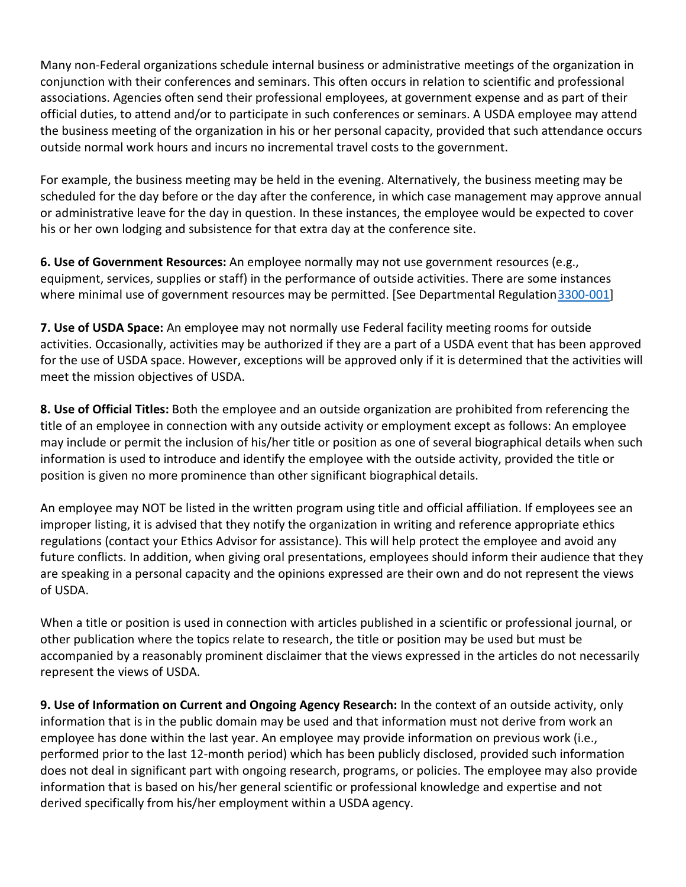Many non-Federal organizations schedule internal business or administrative meetings of the organization in conjunction with their conferences and seminars. This often occurs in relation to scientific and professional associations. Agencies often send their professional employees, at government expense and as part of their official duties, to attend and/or to participate in such conferences or seminars. A USDA employee may attend the business meeting of the organization in his or her personal capacity, provided that such attendance occurs outside normal work hours and incurs no incremental travel costs to the government.

For example, the business meeting may be held in the evening. Alternatively, the business meeting may be scheduled for the day before or the day after the conference, in which case management may approve annual or administrative leave for the day in question. In these instances, the employee would be expected to cover his or her own lodging and subsistence for that extra day at the conference site.

**6. Use of Government Resources:** An employee normally may not use government resources (e.g., equipment, services, supplies or staff) in the performance of outside activities. There are some instances where minimal use of government resources may be permitted. [See Departmental Regulation 3300-001]

**7. Use of USDA Space:** An employee may not normally use Federal facility meeting rooms for outside activities. Occasionally, activities may be authorized if they are a part of a USDA event that has been approved for the use of USDA space. However, exceptions will be approved only if it is determined that the activities will meet the mission objectives of USDA.

**8. Use of Official Titles:** Both the employee and an outside organization are prohibited from referencing the title of an employee in connection with any outside activity or employment except as follows: An employee may include or permit the inclusion of his/her title or position as one of several biographical details when such information is used to introduce and identify the employee with the outside activity, provided the title or position is given no more prominence than other significant biographical details.

An employee may NOT be listed in the written program using title and official affiliation. If employees see an improper listing, it is advised that they notify the organization in writing and reference appropriate ethics regulations (contact your Ethics Advisor for assistance). This will help protect the employee and avoid any future conflicts. In addition, when giving oral presentations, employees should inform their audience that they are speaking in a personal capacity and the opinions expressed are their own and do not represent the views of USDA.

When a title or position is used in connection with articles published in a scientific or professional journal, or other publication where the topics relate to research, the title or position may be used but must be accompanied by a reasonably prominent disclaimer that the views expressed in the articles do not necessarily represent the views of USDA.

**9. Use of Information on Current and Ongoing Agency Research:** In the context of an outside activity, only information that is in the public domain may be used and that information must not derive from work an employee has done within the last year. An employee may provide information on previous work (i.e., performed prior to the last 12-month period) which has been publicly disclosed, provided such information does not deal in significant part with ongoing research, programs, or policies. The employee may also provide information that is based on his/her general scientific or professional knowledge and expertise and not derived specifically from his/her employment within a USDA agency.